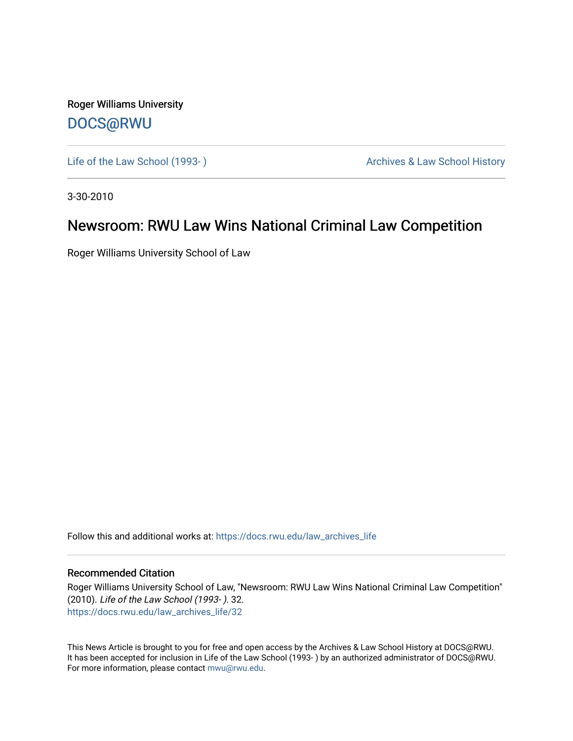Roger Williams University [DOCS@RWU](https://docs.rwu.edu/)

Life of the Law School (1993-) and the Law School History Archives & Law School History

3-30-2010

## Newsroom: RWU Law Wins National Criminal Law Competition

Roger Williams University School of Law

Follow this and additional works at: [https://docs.rwu.edu/law\\_archives\\_life](https://docs.rwu.edu/law_archives_life?utm_source=docs.rwu.edu%2Flaw_archives_life%2F32&utm_medium=PDF&utm_campaign=PDFCoverPages)

## Recommended Citation

Roger Williams University School of Law, "Newsroom: RWU Law Wins National Criminal Law Competition" (2010). Life of the Law School (1993- ). 32. [https://docs.rwu.edu/law\\_archives\\_life/32](https://docs.rwu.edu/law_archives_life/32?utm_source=docs.rwu.edu%2Flaw_archives_life%2F32&utm_medium=PDF&utm_campaign=PDFCoverPages) 

This News Article is brought to you for free and open access by the Archives & Law School History at DOCS@RWU. It has been accepted for inclusion in Life of the Law School (1993- ) by an authorized administrator of DOCS@RWU. For more information, please contact [mwu@rwu.edu](mailto:mwu@rwu.edu).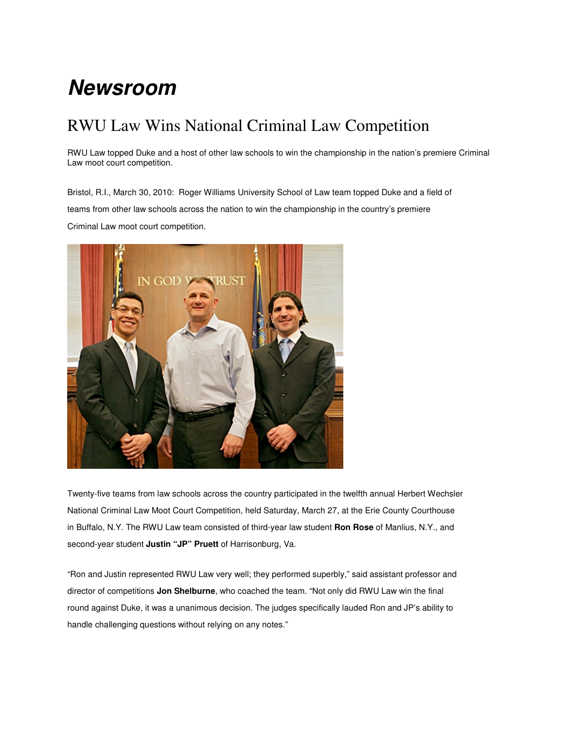## **Newsroom**

## RWU Law Wins National Criminal Law Competition

RWU Law topped Duke and a host of other law schools to win the championship in the nation's premiere Criminal Law moot court competition.

Bristol, R.I., March 30, 2010: Roger Williams University School of Law team topped Duke and a field of teams from other law schools across the nation to win the championship in the country's premiere Criminal Law moot court competition.



Twenty-five teams from law schools across the country participated in the twelfth annual Herbert Wechsler National Criminal Law Moot Court Competition, held Saturday, March 27, at the Erie County Courthouse in Buffalo, N.Y. The RWU Law team consisted of third-year law student **Ron Rose** of Manlius, N.Y., and second-year student **Justin "JP" Pruett** of Harrisonburg, Va.

"Ron and Justin represented RWU Law very well; they performed superbly," said assistant professor and director of competitions **Jon Shelburne**, who coached the team. "Not only did RWU Law win the final round against Duke, it was a unanimous decision. The judges specifically lauded Ron and JP's ability to handle challenging questions without relying on any notes."